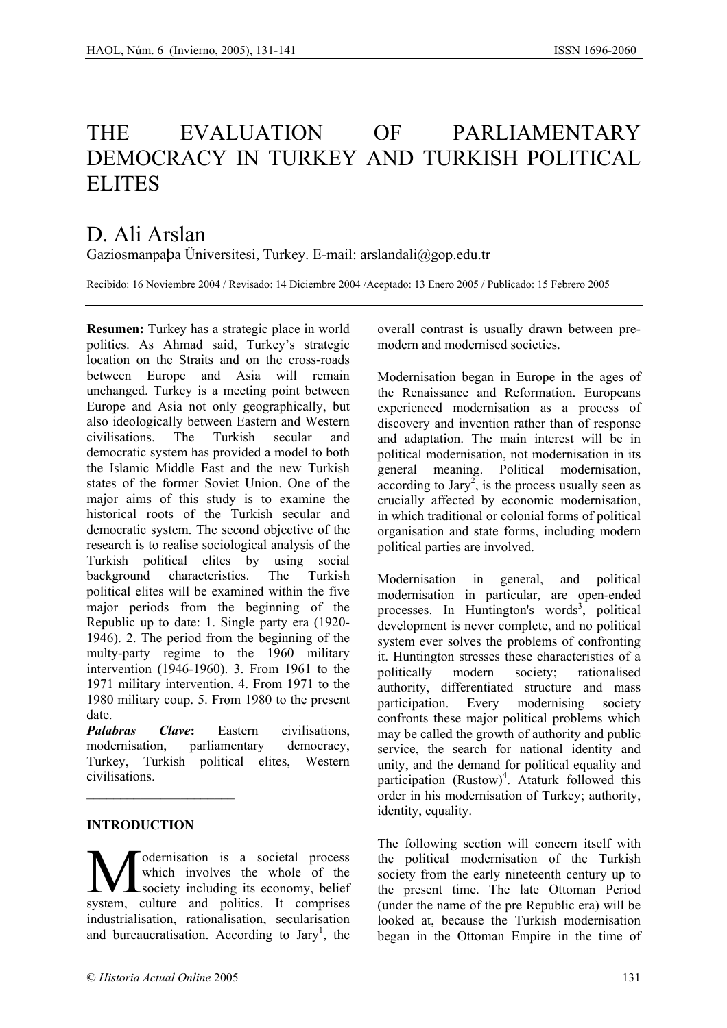# THE EVALUATION OF PARLIAMENTARY DEMOCRACY IN TURKEY AND TURKISH POLITICAL ELITES

# D. Ali Arslan

Gaziosmanpaþa Üniversitesi, Turkey. E-mail: arslandali@gop.edu.tr

Recibido: 16 Noviembre 2004 / Revisado: 14 Diciembre 2004 /Aceptado: 13 Enero 2005 / Publicado: 15 Febrero 2005

**Resumen:** Turkey has a strategic place in world politics. As Ahmad said, Turkey's strategic location on the Straits and on the cross-roads between Europe and Asia will remain unchanged. Turkey is a meeting point between Europe and Asia not only geographically, but also ideologically between Eastern and Western civilisations. The Turkish secular and democratic system has provided a model to both the Islamic Middle East and the new Turkish states of the former Soviet Union. One of the major aims of this study is to examine the historical roots of the Turkish secular and democratic system. The second objective of the research is to realise sociological analysis of the Turkish political elites by using social background characteristics. The Turkish political elites will be examined within the five major periods from the beginning of the Republic up to date: 1. Single party era (1920- 1946). 2. The period from the beginning of the multy-party regime to the 1960 military intervention (1946-1960). 3. From 1961 to the 1971 military intervention. 4. From 1971 to the 1980 military coup. 5. From 1980 to the present date.

*Palabras Clave***:** Eastern civilisations, modernisation, parliamentary democracy, Turkey, Turkish political elites, Western civilisations.

### **INTRODUCTION**

 $\mathcal{L}_\text{max}$ 

odernisation is a societal process which involves the whole of the Modernisation is a societal process<br>which involves the whole of the<br>system culture and politics It comprises system, culture and politics. It comprises industrialisation, rationalisation, secularisation and bureaucratisation. According to Jary<sup>1</sup>, the overall contrast is usually drawn between premodern and modernised societies.

Modernisation began in Europe in the ages of the Renaissance and Reformation. Europeans experienced modernisation as a process of discovery and invention rather than of response and adaptation. The main interest will be in political modernisation, not modernisation in its general meaning. Political modernisation,  $\alpha$  according to Jary<sup>2</sup>, is the process usually seen as crucially affected by economic modernisation, in which traditional or colonial forms of political organisation and state forms, including modern political parties are involved.

Modernisation in general, and political modernisation in particular, are open-ended processes. In Huntington's words<sup>3</sup>, political development is never complete, and no political system ever solves the problems of confronting it. Huntington stresses these characteristics of a politically modern society; rationalised authority, differentiated structure and mass participation. Every modernising society confronts these major political problems which may be called the growth of authority and public service, the search for national identity and unity, and the demand for political equality and participation (Rustow)<sup>4</sup>. Ataturk followed this order in his modernisation of Turkey; authority, identity, equality.

The following section will concern itself with the political modernisation of the Turkish society from the early nineteenth century up to the present time. The late Ottoman Period (under the name of the pre Republic era) will be looked at, because the Turkish modernisation began in the Ottoman Empire in the time of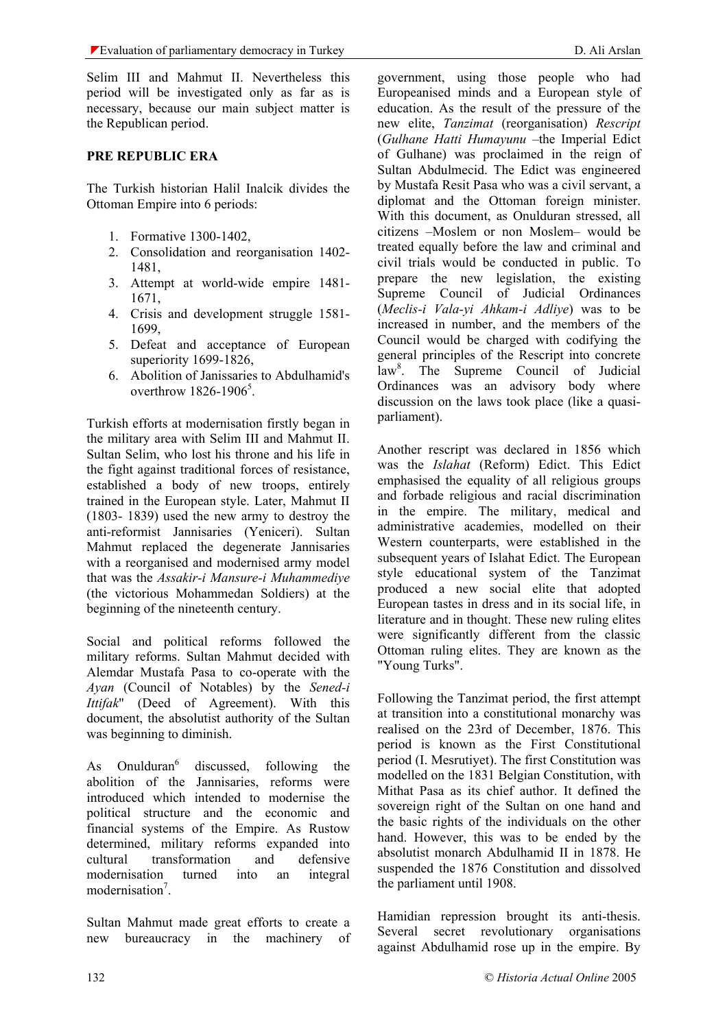Selim III and Mahmut II. Nevertheless this period will be investigated only as far as is necessary, because our main subject matter is the Republican period.

#### **PRE REPUBLIC ERA**

The Turkish historian Halil Inalcik divides the Ottoman Empire into 6 periods:

- 1. Formative 1300-1402,
- 2. Consolidation and reorganisation 1402- 1481,
- 3. Attempt at world-wide empire 1481- 1671,
- 4. Crisis and development struggle 1581- 1699,
- 5. Defeat and acceptance of European superiority 1699-1826,
- 6. Abolition of Janissaries to Abdulhamid's overthrow 1826-1906<sup>5</sup>.

Turkish efforts at modernisation firstly began in the military area with Selim III and Mahmut II. Sultan Selim, who lost his throne and his life in the fight against traditional forces of resistance, established a body of new troops, entirely trained in the European style. Later, Mahmut II (1803- 1839) used the new army to destroy the anti-reformist Jannisaries (Yeniceri). Sultan Mahmut replaced the degenerate Jannisaries with a reorganised and modernised army model that was the *Assakir-i Mansure-i Muhammediye* (the victorious Mohammedan Soldiers) at the beginning of the nineteenth century.

Social and political reforms followed the military reforms. Sultan Mahmut decided with Alemdar Mustafa Pasa to co-operate with the *Ayan* (Council of Notables) by the *Sened-i Ittifak*" (Deed of Agreement). With this document, the absolutist authority of the Sultan was beginning to diminish.

As  $Onulduran<sup>6</sup>$  discussed, following the abolition of the Jannisaries, reforms were introduced which intended to modernise the political structure and the economic and financial systems of the Empire. As Rustow determined, military reforms expanded into cultural transformation and defensive modernisation turned into an integral modernisation<sup>7</sup>.

Sultan Mahmut made great efforts to create a new bureaucracy in the machinery of

government, using those people who had Europeanised minds and a European style of education. As the result of the pressure of the new elite, *Tanzimat* (reorganisation) *Rescript* (*Gulhane Hatti Humayunu* –the Imperial Edict of Gulhane) was proclaimed in the reign of Sultan Abdulmecid. The Edict was engineered by Mustafa Resit Pasa who was a civil servant, a diplomat and the Ottoman foreign minister. With this document, as Onulduran stressed, all citizens –Moslem or non Moslem– would be treated equally before the law and criminal and civil trials would be conducted in public. To prepare the new legislation, the existing Supreme Council of Judicial Ordinances (*Meclis-i Vala-yi Ahkam-i Adliye*) was to be increased in number, and the members of the Council would be charged with codifying the general principles of the Rescript into concrete law<sup>8</sup>. The Supreme Council of Judicial Ordinances was an advisory body where discussion on the laws took place (like a quasiparliament).

Another rescript was declared in 1856 which was the *Islahat* (Reform) Edict. This Edict emphasised the equality of all religious groups and forbade religious and racial discrimination in the empire. The military, medical and administrative academies, modelled on their Western counterparts, were established in the subsequent years of Islahat Edict. The European style educational system of the Tanzimat produced a new social elite that adopted European tastes in dress and in its social life, in literature and in thought. These new ruling elites were significantly different from the classic Ottoman ruling elites. They are known as the "Young Turks".

Following the Tanzimat period, the first attempt at transition into a constitutional monarchy was realised on the 23rd of December, 1876. This period is known as the First Constitutional period (I. Mesrutiyet). The first Constitution was modelled on the 1831 Belgian Constitution, with Mithat Pasa as its chief author. It defined the sovereign right of the Sultan on one hand and the basic rights of the individuals on the other hand. However, this was to be ended by the absolutist monarch Abdulhamid II in 1878. He suspended the 1876 Constitution and dissolved the parliament until 1908.

Hamidian repression brought its anti-thesis. Several secret revolutionary organisations against Abdulhamid rose up in the empire. By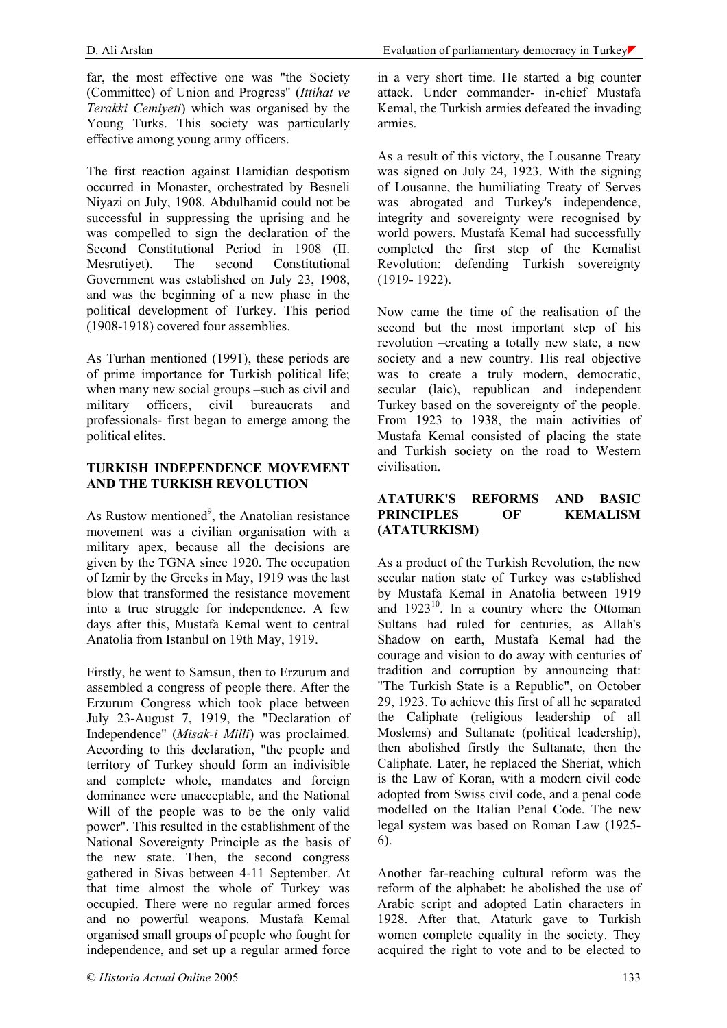far, the most effective one was "the Society (Committee) of Union and Progress" (*Ittihat ve Terakki Cemiyeti*) which was organised by the Young Turks. This society was particularly effective among young army officers.

The first reaction against Hamidian despotism occurred in Monaster, orchestrated by Besneli Niyazi on July, 1908. Abdulhamid could not be successful in suppressing the uprising and he was compelled to sign the declaration of the Second Constitutional Period in 1908 (II. Mesrutiyet). The second Constitutional Government was established on July 23, 1908, and was the beginning of a new phase in the political development of Turkey. This period (1908-1918) covered four assemblies.

As Turhan mentioned (1991), these periods are of prime importance for Turkish political life; when many new social groups –such as civil and military officers, civil bureaucrats and professionals- first began to emerge among the political elites.

#### **TURKISH INDEPENDENCE MOVEMENT AND THE TURKISH REVOLUTION**

As Rustow mentioned<sup>9</sup>, the Anatolian resistance movement was a civilian organisation with a military apex, because all the decisions are given by the TGNA since 1920. The occupation of Izmir by the Greeks in May, 1919 was the last blow that transformed the resistance movement into a true struggle for independence. A few days after this, Mustafa Kemal went to central Anatolia from Istanbul on 19th May, 1919.

Firstly, he went to Samsun, then to Erzurum and assembled a congress of people there. After the Erzurum Congress which took place between July 23-August 7, 1919, the "Declaration of Independence" (*Misak-i Milli*) was proclaimed. According to this declaration, "the people and territory of Turkey should form an indivisible and complete whole, mandates and foreign dominance were unacceptable, and the National Will of the people was to be the only valid power". This resulted in the establishment of the National Sovereignty Principle as the basis of the new state. Then, the second congress gathered in Sivas between 4-11 September. At that time almost the whole of Turkey was occupied. There were no regular armed forces and no powerful weapons. Mustafa Kemal organised small groups of people who fought for independence, and set up a regular armed force

in a very short time. He started a big counter attack. Under commander- in-chief Mustafa Kemal, the Turkish armies defeated the invading armies.

As a result of this victory, the Lousanne Treaty was signed on July 24, 1923. With the signing of Lousanne, the humiliating Treaty of Serves was abrogated and Turkey's independence, integrity and sovereignty were recognised by world powers. Mustafa Kemal had successfully completed the first step of the Kemalist Revolution: defending Turkish sovereignty (1919- 1922).

Now came the time of the realisation of the second but the most important step of his revolution –creating a totally new state, a new society and a new country. His real objective was to create a truly modern, democratic, secular (laic), republican and independent Turkey based on the sovereignty of the people. From 1923 to 1938, the main activities of Mustafa Kemal consisted of placing the state and Turkish society on the road to Western civilisation.

#### **ATATURK'S REFORMS AND BASIC PRINCIPLES OF KEMALISM (ATATURKISM)**

As a product of the Turkish Revolution, the new secular nation state of Turkey was established by Mustafa Kemal in Anatolia between 1919 and  $1923^{10}$ . In a country where the Ottoman Sultans had ruled for centuries, as Allah's Shadow on earth, Mustafa Kemal had the courage and vision to do away with centuries of tradition and corruption by announcing that: "The Turkish State is a Republic", on October 29, 1923. To achieve this first of all he separated the Caliphate (religious leadership of all Moslems) and Sultanate (political leadership), then abolished firstly the Sultanate, then the Caliphate. Later, he replaced the Sheriat, which is the Law of Koran, with a modern civil code adopted from Swiss civil code, and a penal code modelled on the Italian Penal Code. The new legal system was based on Roman Law (1925- 6).

Another far-reaching cultural reform was the reform of the alphabet: he abolished the use of Arabic script and adopted Latin characters in 1928. After that, Ataturk gave to Turkish women complete equality in the society. They acquired the right to vote and to be elected to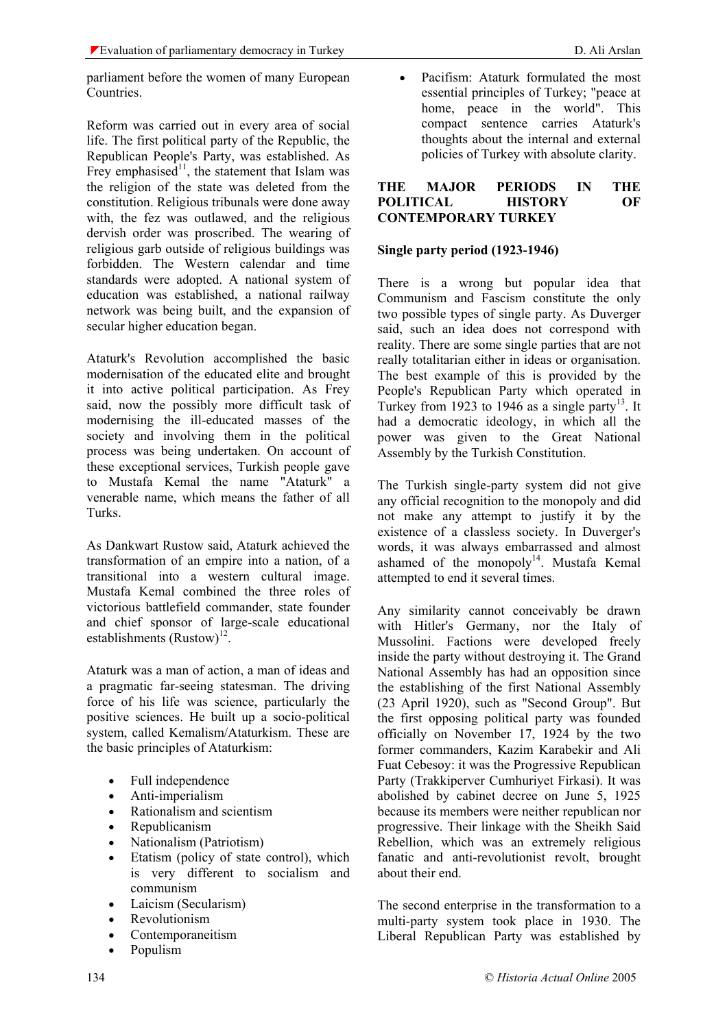parliament before the women of many European Countries.

Reform was carried out in every area of social life. The first political party of the Republic, the Republican People's Party, was established. As Frey emphasised<sup>11</sup>, the statement that Islam was the religion of the state was deleted from the constitution. Religious tribunals were done away with, the fez was outlawed, and the religious dervish order was proscribed. The wearing of religious garb outside of religious buildings was forbidden. The Western calendar and time standards were adopted. A national system of education was established, a national railway network was being built, and the expansion of secular higher education began.

Ataturk's Revolution accomplished the basic modernisation of the educated elite and brought it into active political participation. As Frey said, now the possibly more difficult task of modernising the ill-educated masses of the society and involving them in the political process was being undertaken. On account of these exceptional services, Turkish people gave to Mustafa Kemal the name "Ataturk" a venerable name, which means the father of all Turks.

As Dankwart Rustow said, Ataturk achieved the transformation of an empire into a nation, of a transitional into a western cultural image. Mustafa Kemal combined the three roles of victorious battlefield commander, state founder and chief sponsor of large-scale educational establishments  $(Rustow)^{12}$ .

Ataturk was a man of action, a man of ideas and a pragmatic far-seeing statesman. The driving force of his life was science, particularly the positive sciences. He built up a socio-political system, called Kemalism/Ataturkism. These are the basic principles of Ataturkism:

- Full independence
- Anti-imperialism
- Rationalism and scientism
- Republicanism
- Nationalism (Patriotism)
- Etatism (policy of state control), which is very different to socialism and communism
- Laicism (Secularism)
- Revolutionism
- Contemporaneitism
- Populism

• Pacifism: Ataturk formulated the most essential principles of Turkey; "peace at home, peace in the world". This compact sentence carries Ataturk's thoughts about the internal and external policies of Turkey with absolute clarity.

#### **THE MAJOR PERIODS IN THE POLITICAL HISTORY OF CONTEMPORARY TURKEY**

### **Single party period (1923-1946)**

There is a wrong but popular idea that Communism and Fascism constitute the only two possible types of single party. As Duverger said, such an idea does not correspond with reality. There are some single parties that are not really totalitarian either in ideas or organisation. The best example of this is provided by the People's Republican Party which operated in Turkey from 1923 to 1946 as a single party<sup>13</sup>. It had a democratic ideology, in which all the power was given to the Great National Assembly by the Turkish Constitution.

The Turkish single-party system did not give any official recognition to the monopoly and did not make any attempt to justify it by the existence of a classless society. In Duverger's words, it was always embarrassed and almost ashamed of the monopoly $14$ . Mustafa Kemal attempted to end it several times.

Any similarity cannot conceivably be drawn with Hitler's Germany, nor the Italy of Mussolini. Factions were developed freely inside the party without destroying it. The Grand National Assembly has had an opposition since the establishing of the first National Assembly (23 April 1920), such as "Second Group". But the first opposing political party was founded officially on November 17, 1924 by the two former commanders, Kazim Karabekir and Ali Fuat Cebesoy: it was the Progressive Republican Party (Trakkiperver Cumhuriyet Firkasi). It was abolished by cabinet decree on June 5, 1925 because its members were neither republican nor progressive. Their linkage with the Sheikh Said Rebellion, which was an extremely religious fanatic and anti-revolutionist revolt, brought about their end.

The second enterprise in the transformation to a multi-party system took place in 1930. The Liberal Republican Party was established by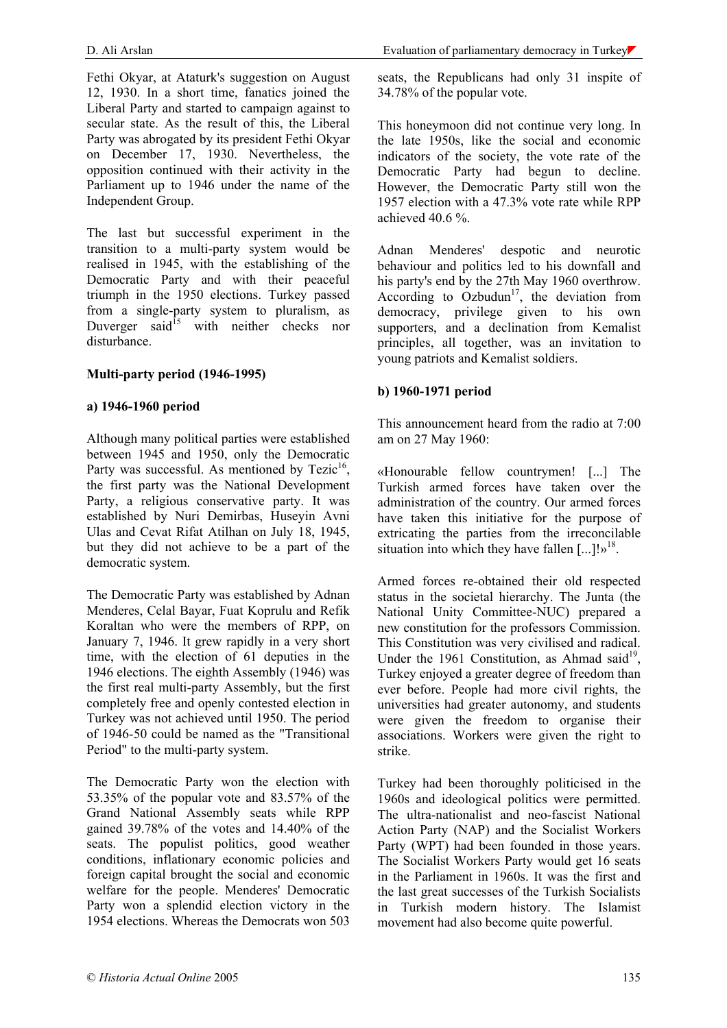Fethi Okyar, at Ataturk's suggestion on August 12, 1930. In a short time, fanatics joined the Liberal Party and started to campaign against to secular state. As the result of this, the Liberal Party was abrogated by its president Fethi Okyar on December 17, 1930. Nevertheless, the opposition continued with their activity in the Parliament up to 1946 under the name of the Independent Group.

The last but successful experiment in the transition to a multi-party system would be realised in 1945, with the establishing of the Democratic Party and with their peaceful triumph in the 1950 elections. Turkey passed from a single-party system to pluralism, as Duverger said $^{15}$  with neither checks nor disturbance.

### **Multi-party period (1946-1995)**

### **a) 1946-1960 period**

Although many political parties were established between 1945 and 1950, only the Democratic Party was successful. As mentioned by  $Tezic<sup>16</sup>$ , the first party was the National Development Party, a religious conservative party. It was established by Nuri Demirbas, Huseyin Avni Ulas and Cevat Rifat Atilhan on July 18, 1945, but they did not achieve to be a part of the democratic system.

The Democratic Party was established by Adnan Menderes, Celal Bayar, Fuat Koprulu and Refik Koraltan who were the members of RPP, on January 7, 1946. It grew rapidly in a very short time, with the election of 61 deputies in the 1946 elections. The eighth Assembly (1946) was the first real multi-party Assembly, but the first completely free and openly contested election in Turkey was not achieved until 1950. The period of 1946-50 could be named as the "Transitional Period" to the multi-party system.

The Democratic Party won the election with 53.35% of the popular vote and 83.57% of the Grand National Assembly seats while RPP gained 39.78% of the votes and 14.40% of the seats. The populist politics, good weather conditions, inflationary economic policies and foreign capital brought the social and economic welfare for the people. Menderes' Democratic Party won a splendid election victory in the 1954 elections. Whereas the Democrats won 503 seats, the Republicans had only 31 inspite of 34.78% of the popular vote.

This honeymoon did not continue very long. In the late 1950s, like the social and economic indicators of the society, the vote rate of the Democratic Party had begun to decline. However, the Democratic Party still won the 1957 election with a 47.3% vote rate while RPP achieved 40.6 %.

Adnan Menderes' despotic and neurotic behaviour and politics led to his downfall and his party's end by the 27th May 1960 overthrow. According to Ozbudun<sup>17</sup>, the deviation from democracy, privilege given to his own supporters, and a declination from Kemalist principles, all together, was an invitation to young patriots and Kemalist soldiers.

### **b) 1960-1971 period**

This announcement heard from the radio at 7:00 am on 27 May 1960:

«Honourable fellow countrymen! [...] The Turkish armed forces have taken over the administration of the country. Our armed forces have taken this initiative for the purpose of extricating the parties from the irreconcilable situation into which they have fallen  $\left[\ldots\right]$ !»<sup>18</sup>.

Armed forces re-obtained their old respected status in the societal hierarchy. The Junta (the National Unity Committee-NUC) prepared a new constitution for the professors Commission. This Constitution was very civilised and radical. Under the 1961 Constitution, as Ahmad said<sup>19</sup>, Turkey enjoyed a greater degree of freedom than ever before. People had more civil rights, the universities had greater autonomy, and students were given the freedom to organise their associations. Workers were given the right to strike.

Turkey had been thoroughly politicised in the 1960s and ideological politics were permitted. The ultra-nationalist and neo-fascist National Action Party (NAP) and the Socialist Workers Party (WPT) had been founded in those years. The Socialist Workers Party would get 16 seats in the Parliament in 1960s. It was the first and the last great successes of the Turkish Socialists in Turkish modern history. The Islamist movement had also become quite powerful.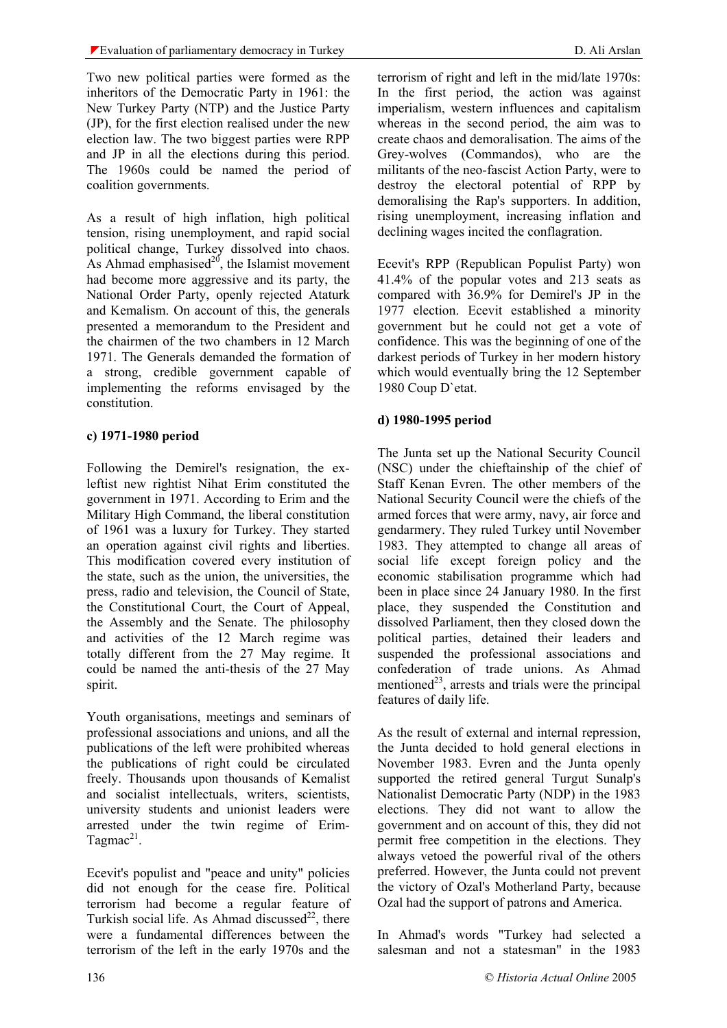Two new political parties were formed as the inheritors of the Democratic Party in 1961: the New Turkey Party (NTP) and the Justice Party (JP), for the first election realised under the new election law. The two biggest parties were RPP and JP in all the elections during this period. The 1960s could be named the period of coalition governments.

As a result of high inflation, high political tension, rising unemployment, and rapid social political change, Turkey dissolved into chaos. As Ahmad emphasised $^{20}$ , the Islamist movement had become more aggressive and its party, the National Order Party, openly rejected Ataturk and Kemalism. On account of this, the generals presented a memorandum to the President and the chairmen of the two chambers in 12 March 1971. The Generals demanded the formation of a strong, credible government capable of implementing the reforms envisaged by the constitution.

## **c) 1971-1980 period**

Following the Demirel's resignation, the exleftist new rightist Nihat Erim constituted the government in 1971. According to Erim and the Military High Command, the liberal constitution of 1961 was a luxury for Turkey. They started an operation against civil rights and liberties. This modification covered every institution of the state, such as the union, the universities, the press, radio and television, the Council of State, the Constitutional Court, the Court of Appeal, the Assembly and the Senate. The philosophy and activities of the 12 March regime was totally different from the 27 May regime. It could be named the anti-thesis of the 27 May spirit.

Youth organisations, meetings and seminars of professional associations and unions, and all the publications of the left were prohibited whereas the publications of right could be circulated freely. Thousands upon thousands of Kemalist and socialist intellectuals, writers, scientists, university students and unionist leaders were arrested under the twin regime of Erim-Tagmac<sup>21</sup>.

Ecevit's populist and "peace and unity" policies did not enough for the cease fire. Political terrorism had become a regular feature of Turkish social life. As Ahmad discussed $^{22}$ , there were a fundamental differences between the terrorism of the left in the early 1970s and the

terrorism of right and left in the mid/late 1970s: In the first period, the action was against imperialism, western influences and capitalism whereas in the second period, the aim was to create chaos and demoralisation. The aims of the Grey-wolves (Commandos), who are the militants of the neo-fascist Action Party, were to destroy the electoral potential of RPP by demoralising the Rap's supporters. In addition, rising unemployment, increasing inflation and declining wages incited the conflagration.

Ecevit's RPP (Republican Populist Party) won 41.4% of the popular votes and 213 seats as compared with 36.9% for Demirel's JP in the 1977 election. Ecevit established a minority government but he could not get a vote of confidence. This was the beginning of one of the darkest periods of Turkey in her modern history which would eventually bring the 12 September 1980 Coup D`etat.

## **d) 1980-1995 period**

The Junta set up the National Security Council (NSC) under the chieftainship of the chief of Staff Kenan Evren. The other members of the National Security Council were the chiefs of the armed forces that were army, navy, air force and gendarmery. They ruled Turkey until November 1983. They attempted to change all areas of social life except foreign policy and the economic stabilisation programme which had been in place since 24 January 1980. In the first place, they suspended the Constitution and dissolved Parliament, then they closed down the political parties, detained their leaders and suspended the professional associations and confederation of trade unions. As Ahmad mentioned<sup>23</sup>, arrests and trials were the principal features of daily life.

As the result of external and internal repression, the Junta decided to hold general elections in November 1983. Evren and the Junta openly supported the retired general Turgut Sunalp's Nationalist Democratic Party (NDP) in the 1983 elections. They did not want to allow the government and on account of this, they did not permit free competition in the elections. They always vetoed the powerful rival of the others preferred. However, the Junta could not prevent the victory of Ozal's Motherland Party, because Ozal had the support of patrons and America.

In Ahmad's words "Turkey had selected a salesman and not a statesman" in the 1983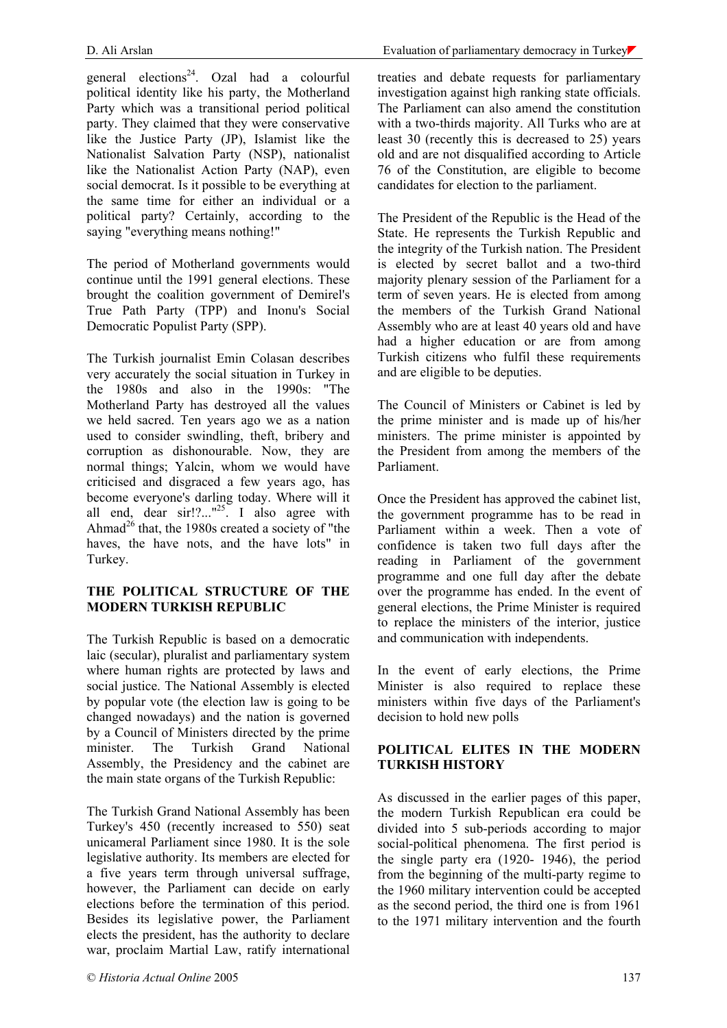general elections<sup>24</sup>. Ozal had a colourful political identity like his party, the Motherland Party which was a transitional period political party. They claimed that they were conservative like the Justice Party (JP), Islamist like the Nationalist Salvation Party (NSP), nationalist like the Nationalist Action Party (NAP), even social democrat. Is it possible to be everything at the same time for either an individual or a political party? Certainly, according to the saying "everything means nothing!"

The neriod of Motherland governments would continue until the 1991 general elections. These brought the coalition government of Demirel's True Path Party (TPP) and Inonu's Social Democratic Populist Party (SPP).

The Turkish journalist Emin Colasan describes very accurately the social situation in Turkey in the 1980s and also in the 1990s: "The Motherland Party has destroyed all the values we held sacred. Ten years ago we as a nation used to consider swindling, theft, bribery and corruption as dishonourable. Now, they are normal things; Yalcin, whom we would have criticised and disgraced a few years ago, has become everyone's darling today. Where will it all end, dear sir!?..."<sup>25</sup>. I also agree with Ahmad<sup>26</sup> that, the 1980s created a society of "the haves, the have nots, and the have lots" in Turkey.

### **THE POLITICAL STRUCTURE OF THE MODERN TURKISH REPUBLIC**

The Turkish Republic is based on a democratic laic (secular), pluralist and parliamentary system where human rights are protected by laws and social justice. The National Assembly is elected by popular vote (the election law is going to be changed nowadays) and the nation is governed by a Council of Ministers directed by the prime minister. The Turkish Grand National Assembly, the Presidency and the cabinet are the main state organs of the Turkish Republic:

The Turkish Grand National Assembly has been Turkey's 450 (recently increased to 550) seat unicameral Parliament since 1980. It is the sole legislative authority. Its members are elected for a five years term through universal suffrage, however, the Parliament can decide on early elections before the termination of this period. Besides its legislative power, the Parliament elects the president, has the authority to declare war, proclaim Martial Law, ratify international

treaties and debate requests for parliamentary investigation against high ranking state officials. The Parliament can also amend the constitution with a two-thirds majority. All Turks who are at least 30 (recently this is decreased to 25) years old and are not disqualified according to Article 76 of the Constitution, are eligible to become candidates for election to the parliament.

The President of the Republic is the Head of the State. He represents the Turkish Republic and the integrity of the Turkish nation. The President is elected by secret ballot and a two-third majority plenary session of the Parliament for a term of seven years. He is elected from among the members of the Turkish Grand National Assembly who are at least 40 years old and have had a higher education or are from among Turkish citizens who fulfil these requirements and are eligible to be deputies.

The Council of Ministers or Cabinet is led by the prime minister and is made up of his/her ministers. The prime minister is appointed by the President from among the members of the Parliament.

Once the President has approved the cabinet list, the government programme has to be read in Parliament within a week. Then a vote of confidence is taken two full days after the reading in Parliament of the government programme and one full day after the debate over the programme has ended. In the event of general elections, the Prime Minister is required to replace the ministers of the interior, justice and communication with independents.

In the event of early elections, the Prime Minister is also required to replace these ministers within five days of the Parliament's decision to hold new polls

### **POLITICAL ELITES IN THE MODERN TURKISH HISTORY**

As discussed in the earlier pages of this paper, the modern Turkish Republican era could be divided into 5 sub-periods according to major social-political phenomena. The first period is the single party era (1920- 1946), the period from the beginning of the multi-party regime to the 1960 military intervention could be accepted as the second period, the third one is from 1961 to the 1971 military intervention and the fourth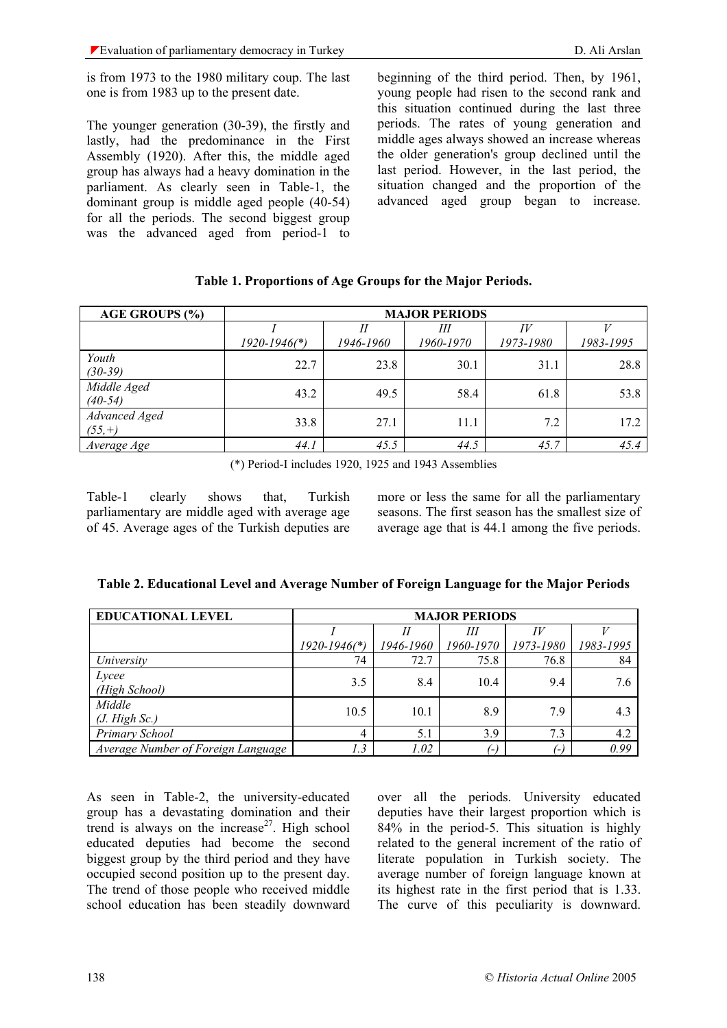is from 1973 to the 1980 military coup. The last one is from 1983 up to the present date.

The younger generation (30-39), the firstly and lastly, had the predominance in the First Assembly (1920). After this, the middle aged group has always had a heavy domination in the parliament. As clearly seen in Table-1, the dominant group is middle aged people (40-54) for all the periods. The second biggest group was the advanced aged from period-1 to

beginning of the third period. Then, by 1961, young people had risen to the second rank and this situation continued during the last three periods. The rates of young generation and middle ages always showed an increase whereas the older generation's group declined until the last period. However, in the last period, the situation changed and the proportion of the advanced aged group began to increase.

| <b>AGE GROUPS (%)</b>     | <b>MAJOR PERIODS</b>         |           |                |                 |           |  |  |
|---------------------------|------------------------------|-----------|----------------|-----------------|-----------|--|--|
|                           | $1920 - 1946$ <sup>*</sup> ) | 1946-1960 | Ш<br>1960-1970 | IV<br>1973-1980 | 1983-1995 |  |  |
| Youth<br>$(30-39)$        | 22.7                         | 23.8      | 30.1           | 31.1            | 28.8      |  |  |
| Middle Aged<br>$(40-54)$  | 43.2                         | 49.5      | 58.4           | 61.8            | 53.8      |  |  |
| Advanced Aged<br>$(55,+)$ | 33.8                         | 27.1      | 11.1           | 7.2             | 17.2      |  |  |
| Average Age               | 44.1                         | 45.5      | 44.5           | 45.7            | 45.4      |  |  |

#### **Table 1. Proportions of Age Groups for the Major Periods.**

(\*) Period-I includes 1920, 1925 and 1943 Assemblies

Table-1 clearly shows that, Turkish parliamentary are middle aged with average age of 45. Average ages of the Turkish deputies are more or less the same for all the parliamentary seasons. The first season has the smallest size of average age that is 44.1 among the five periods.

| <b>EDUCATIONAL LEVEL</b>           | <b>MAJOR PERIODS</b>         |           |           |           |           |  |
|------------------------------------|------------------------------|-----------|-----------|-----------|-----------|--|
|                                    |                              |           | Ш         | IV        |           |  |
|                                    | $1920 - 1946$ <sup>*</sup> ) | 1946-1960 | 1960-1970 | 1973-1980 | 1983-1995 |  |
| University                         | 74                           | 72.7      | 75.8      | 76.8      | 84        |  |
| Lycee<br>(High School)             | 3.5                          | 8.4       | 10.4      | 9.4       | 7.6       |  |
| Middle<br>(J. High Sc.)            | 10.5                         | 10.1      | 8.9       | 7.9       | 4.3       |  |
| Primary School                     | 4                            | 5.1       | 3.9       | 7.3       | 4.2       |  |
| Average Number of Foreign Language | 1.3                          | 1.02      | $( - )$   | 1 – I     | 0.99      |  |

| Table 2. Educational Level and Average Number of Foreign Language for the Major Periods |  |  |  |
|-----------------------------------------------------------------------------------------|--|--|--|
|-----------------------------------------------------------------------------------------|--|--|--|

As seen in Table-2, the university-educated group has a devastating domination and their trend is always on the increase<sup>27</sup>. High school educated deputies had become the second biggest group by the third period and they have occupied second position up to the present day. The trend of those people who received middle school education has been steadily downward over all the periods. University educated deputies have their largest proportion which is 84% in the period-5. This situation is highly related to the general increment of the ratio of literate population in Turkish society. The average number of foreign language known at its highest rate in the first period that is 1.33. The curve of this peculiarity is downward.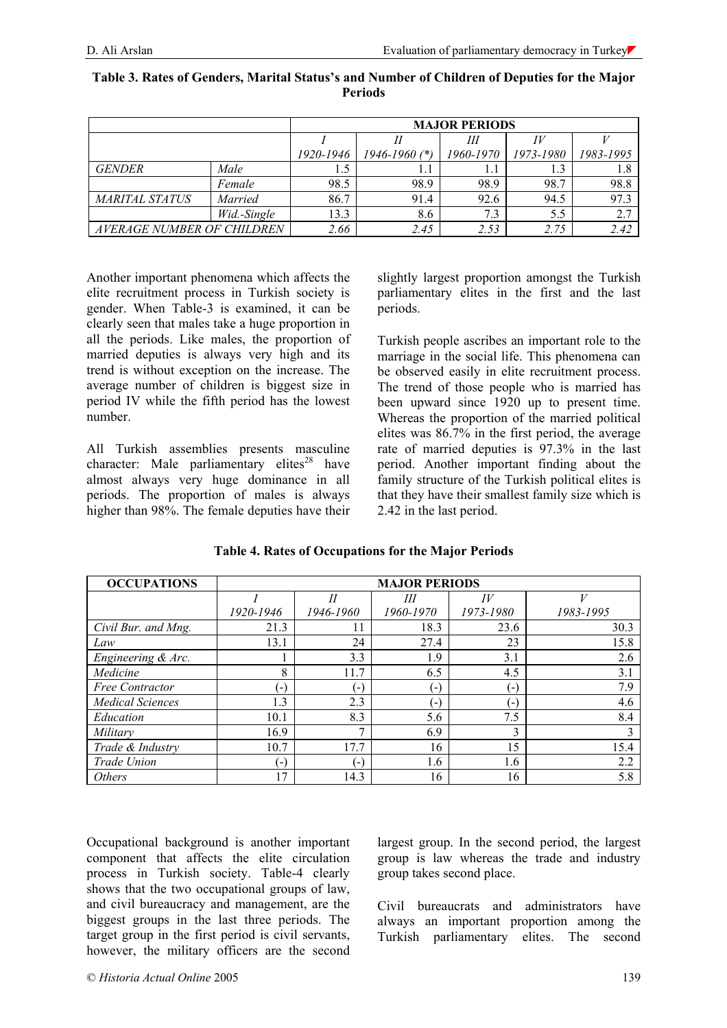|                            |                | <b>MAJOR PERIODS</b> |                   |           |           |           |
|----------------------------|----------------|----------------------|-------------------|-----------|-----------|-----------|
|                            |                |                      |                   | Ш         |           |           |
|                            |                | 1920-1946            | $1946 - 1960$ (*) | 1960-1970 | 1973-1980 | 1983-1995 |
| <b>GENDER</b>              | Male           | l.5                  |                   |           | 1.3       | 1.8       |
|                            | Female         | 98.5                 | 98.9              | 98.9      | 98.7      | 98.8      |
| <i>MARITAL STATUS</i>      | <i>Married</i> | 86.7                 | 91.4              | 92.6      | 94.5      | 97.3      |
|                            | Wid.-Single    | 13.3                 | 8.6               | 7.3       | 5.5       | 2.7       |
| AVERAGE NUMBER OF CHILDREN |                | 2.66                 | 2.45              | 2.53      | 2.75      | 2.42      |

**Table 3. Rates of Genders, Marital Status's and Number of Children of Deputies for the Major Periods**

Another important phenomena which affects the elite recruitment process in Turkish society is gender. When Table-3 is examined, it can be clearly seen that males take a huge proportion in all the periods. Like males, the proportion of married deputies is always very high and its trend is without exception on the increase. The average number of children is biggest size in period IV while the fifth period has the lowest number.

All Turkish assemblies presents masculine character: Male parliamentary elites $^{28}$  have almost always very huge dominance in all periods. The proportion of males is always higher than 98%. The female deputies have their

slightly largest proportion amongst the Turkish parliamentary elites in the first and the last periods.

Turkish people ascribes an important role to the marriage in the social life. This phenomena can be observed easily in elite recruitment process. The trend of those people who is married has been upward since 1920 up to present time. Whereas the proportion of the married political elites was 86.7% in the first period, the average rate of married deputies is 97.3% in the last period. Another important finding about the family structure of the Turkish political elites is that they have their smallest family size which is 2.42 in the last period.

| <b>OCCUPATIONS</b>      | <b>MAJOR PERIODS</b>                          |           |           |           |           |
|-------------------------|-----------------------------------------------|-----------|-----------|-----------|-----------|
|                         |                                               | II        | Ш         | IV        |           |
|                         | 1920-1946                                     | 1946-1960 | 1960-1970 | 1973-1980 | 1983-1995 |
| Civil Bur. and Mng.     | 21.3                                          | 11        | 18.3      | 23.6      | 30.3      |
| Law                     | 13.1                                          | 24        | 27.4      | 23        | 15.8      |
| Engineering & Arc.      |                                               | 3.3       | 1.9       | 3.1       | 2.6       |
| Medicine                | 8                                             | 11.7      | 6.5       | 4.5       | 3.1       |
| <b>Free Contractor</b>  | $\vert$                                       | (−)       | $(-)$     | $-$       | 7.9       |
| <b>Medical Sciences</b> | 1.3                                           | 2.3       | $-1$      |           | 4.6       |
| Education               | 10.1                                          | 8.3       | 5.6       | 7.5       | 8.4       |
| Military                | 16.9                                          | 7         | 6.9       | 3         |           |
| Trade & Industry        | 10.7                                          | 17.7      | 16        | 15        | 15.4      |
| Trade Union             | $\mathord{\hspace{1pt}\text{--}\hspace{1pt}}$ | (−`       | 1.6       | 1.6       | 2.2       |
| <i>Others</i>           | 17                                            | 14.3      | 16        | 16        | 5.8       |

**Table 4. Rates of Occupations for the Major Periods**

Occupational background is another important component that affects the elite circulation process in Turkish society. Table-4 clearly shows that the two occupational groups of law, and civil bureaucracy and management, are the biggest groups in the last three periods. The target group in the first period is civil servants, however, the military officers are the second

largest group. In the second period, the largest group is law whereas the trade and industry group takes second place.

Civil bureaucrats and administrators have always an important proportion among the Turkish parliamentary elites. The second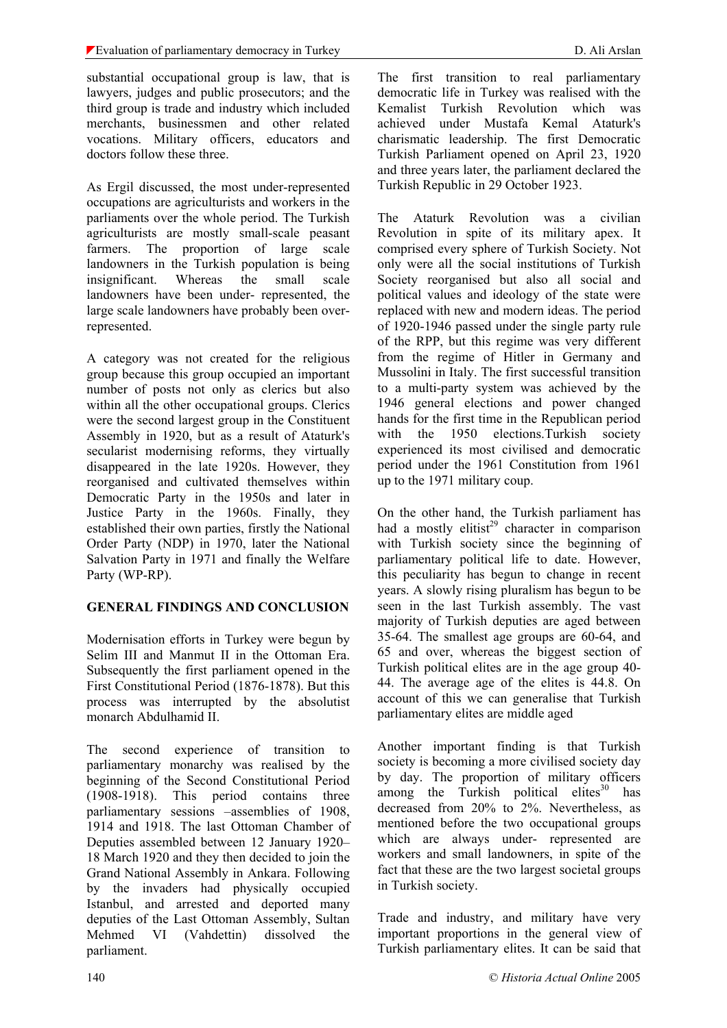substantial occupational group is law, that is lawyers, judges and public prosecutors; and the third group is trade and industry which included merchants, businessmen and other related vocations. Military officers, educators and doctors follow these three.

As Ergil discussed, the most under-represented occupations are agriculturists and workers in the parliaments over the whole period. The Turkish agriculturists are mostly small-scale peasant farmers. The proportion of large scale landowners in the Turkish population is being insignificant. Whereas the small scale landowners have been under- represented, the large scale landowners have probably been overrepresented.

A category was not created for the religious group because this group occupied an important number of posts not only as clerics but also within all the other occupational groups. Clerics were the second largest group in the Constituent Assembly in 1920, but as a result of Ataturk's secularist modernising reforms, they virtually disappeared in the late 1920s. However, they reorganised and cultivated themselves within Democratic Party in the 1950s and later in Justice Party in the 1960s. Finally, they established their own parties, firstly the National Order Party (NDP) in 1970, later the National Salvation Party in 1971 and finally the Welfare Party (WP-RP).

### **GENERAL FINDINGS AND CONCLUSION**

Modernisation efforts in Turkey were begun by Selim III and Manmut II in the Ottoman Era. Subsequently the first parliament opened in the First Constitutional Period (1876-1878). But this process was interrupted by the absolutist monarch Abdulhamid II.

The second experience of transition to parliamentary monarchy was realised by the beginning of the Second Constitutional Period (1908-1918). This period contains three parliamentary sessions –assemblies of 1908, 1914 and 1918. The last Ottoman Chamber of Deputies assembled between 12 January 1920– 18 March 1920 and they then decided to join the Grand National Assembly in Ankara. Following by the invaders had physically occupied Istanbul, and arrested and deported many deputies of the Last Ottoman Assembly, Sultan Mehmed VI (Vahdettin) dissolved the parliament.

The first transition to real parliamentary democratic life in Turkey was realised with the Kemalist Turkish Revolution which was achieved under Mustafa Kemal Ataturk's charismatic leadership. The first Democratic Turkish Parliament opened on April 23, 1920 and three years later, the parliament declared the Turkish Republic in 29 October 1923.

The Ataturk Revolution was a civilian Revolution in spite of its military apex. It comprised every sphere of Turkish Society. Not only were all the social institutions of Turkish Society reorganised but also all social and political values and ideology of the state were replaced with new and modern ideas. The period of 1920-1946 passed under the single party rule of the RPP, but this regime was very different from the regime of Hitler in Germany and Mussolini in Italy. The first successful transition to a multi-party system was achieved by the 1946 general elections and power changed hands for the first time in the Republican period with the 1950 elections.Turkish society experienced its most civilised and democratic period under the 1961 Constitution from 1961 up to the 1971 military coup.

On the other hand, the Turkish parliament has had a mostly elitist<sup>29</sup> character in comparison with Turkish society since the beginning of parliamentary political life to date. However, this peculiarity has begun to change in recent years. A slowly rising pluralism has begun to be seen in the last Turkish assembly. The vast majority of Turkish deputies are aged between 35-64. The smallest age groups are 60-64, and 65 and over, whereas the biggest section of Turkish political elites are in the age group 40- 44. The average age of the elites is 44.8. On account of this we can generalise that Turkish parliamentary elites are middle aged

Another important finding is that Turkish society is becoming a more civilised society day by day. The proportion of military officers among the Turkish political elites<sup>30</sup> has decreased from 20% to 2%. Nevertheless, as mentioned before the two occupational groups which are always under- represented are workers and small landowners, in spite of the fact that these are the two largest societal groups in Turkish society.

Trade and industry, and military have very important proportions in the general view of Turkish parliamentary elites. It can be said that